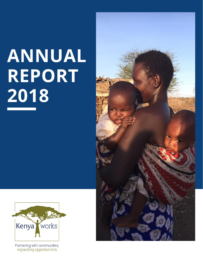# ANNUAL REPORT 2018





Partnering with communities, expanding opportunities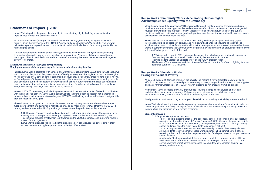### **Statement of Impact | 2018**

Kenya Works taps into the power of community to create lasting, dignity-building opportunities for impoverished women and children in Kenya.

We are a US-based 501(c)3 organization with deep roots in Kenya, supporting change from within the country. Using the framework of the UN 2030 Agenda and guided by Kenya's Vision 2030 Plan, we work in long-term partnership with Kenyan communities to help individuals rise up from poverty and tackle key human rights issues.

Our four core programs address period poverty; gender equity and human rights; education; and longterm partnerships with Kenyan community-based organizations. We accomplish our mission through the support of our incredible donors and the power of community. We know that when we work together, poverty is no match.

#### **Makini Pad Initiative: A Full Cycle of Opportunity Employing women while empowering girls to stay in school and stay healthy**

In 2018, Kenya Works partnered with schools and women's groups, providing 20,000 girls throughout Kenya with our Makini Pad, Makini Pad, a reusable, eco-friendly, sanitary feminine hygiene product. In Kenya, girls miss an average of 4.9 days of school each month because they lack sanitary products for periods. Known as "period poverty," this problem leaves impoverished girls at an extreme disadvantage impacting not only their education, but their self esteem. By working within schools, our program normalizes education and conversation about menstruation, building support structures for adolescent girls as well as providing a safe, effective way to manage their periods to stay in school.

Kenya's HIV/AIDS rate among adults is 6.3 percent versus 0.6 percent in the United States. In combination with the Makini Pad delivery, Kenya Works social workers facilitate a training session not mandated in Kenyan schools, including education on hygiene, HIV/AIDS and building positive self esteem. Last year, this program reached 50,000 girls.

The Makini Pad is designed and produced for Kenyan women by Kenyan women. The social enterprise is fueling development of a sustainable market and providing a meaningful revenue stream to VICODEC—a primary and vocational school in Ongata Rongai, Kenya, where the production facility is located.

- 20,000 Makini Pads were produced and distributed to Kenyan girls who would otherwise not have sanitary pads. This represents a nearly 20% growth rate from the 2017 distribution of 17,000
- This initiative provides employment to 30 women on the VICODEC campus, and a growing revenue stream for the organization
- Kenya Works expanded Makini Pad distribution into 5 new counties, reaching more girls without access to menstrual hygiene products and puberty/HIV education

#### **Kenya Works Community Works: Accelerating Human Rights Advancing Gender Equality from the Ground Up**

When Kenya's constitution passed in 2010, it created landmark legal protections for women and girls, provides equal educational opportunities, and outlaws harmful cultural practices such as female genital mutilation (FGM) and child marriage. However, legal protections have not fully translated to cultural practices, and there is still widespread gender disparity across the spectrum of leadership roles, economic advancement and gender-based violence.

Kenya Works Community Works forums are intensive 4-day workshops designed to identify gaps in information, develop a baseline of attitude, and work toward a change in behaviors. The workshops emphasize the role of positive family relationships in the development of empowered communities. Kenya Works is currently advancing the Community Works program by implementing an attitudinal shift study that will quantify change as a result of this work.

• KWCW expanded from 4 (2017) to 6 annual sessions due to high demand and positive response • Held an Anti-FGM Awareness workshop, training 242 girls to be at the forefront of fighting for a zero

- 
- To date, Kenya Works has trained 1,164 community leaders across 9 counties
- Training leaders approach has ripple effect on the KWCW program reach
- tolerance culture of FGM in Kenya.

#### **Kenya Works Education Works: Paving Paths out of Poverty**

At least 36 percent of Kenyans live below the poverty line, making it very difficult for many families to afford school fees for both private and public secondary schools, along with uniform fees, school supplies and basic nutrition. Because of this, 58% of Kenyan students do not graduate from high school.

Additionally, Kenyan schools are vastly underfunded resulting in large class size, lack of materials and dilapidated learning environments. We have partnered with numerous public and private institutions improving environments for children to be safe, learn and thrive.

Finally, nutrition continues to plague poverty-stricken children, diminishing their ability to excel in school.

Kenya Works is addressing these needs by providing comprehensive educational foundations to help kids pave their paths out of poverty. Our organization makes investments in scholarships, building and water infrastructure and providing school feeding programs.

#### *Student Sponsorship*

• 14 of 14 eligible students graduated to secondary school (high school), after successfully receiving the Kenya Certificate of Primary Education (KCPE). (Kenyan students are elibible to sit for the KCPE exam after completing the required eight-year course of Kenya primary

- 310 Kenya Works sponsored students
	- school, and must pass the exam to graduate to secondary school.)
	-
	- school success.
	- remote, rural community.

• 100 % of Kenya Works sponsored students successfully moved to their next grade level. • All KW students received personal social work guidance in being matched to a school, receiving school uniforms, school supplies and other family psycho-social support to ensure

• Additionally, 80 students and adult-learners have completed computer training at Kenya Works-supported Information Communications Technology Center to date. The center serves otherwise unmet community access to computer and technology training in a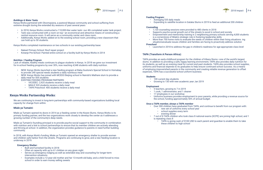

#### *Buildings & Water Tanks*

Kenya Works partnered with Oloomayiana, a pastoral Maasai community and school suffering from extreme drought during the extended dry seasons of past several years

- In 2018, Kenya Works constructed a 110,000-liter water tank—our 4th completed water tank project.
- Tank was constructed with a room on top—an economical and attractive means of constructing a central resource room. It will serve as a community center and class room.
- Additionally, Kenya Works added on to the existing school room, providing a new classroom that can hold up to 50 students.

Kenya Works completed maintenance on two schools in our existing partnership base:

- Nakeel Primary School: Roof repair project
- Kotanje Pre-School: Painted entire school on a facility built by Kenya Works in 2014

#### *Nutrition / Feeding Program*

Lack of reliable, healthy meals continues to plague students in Kenya. In 2018 we grew our investment for in-school feeding programs by over 30%, now reaching 4,548 students with daily nutrition.

- NEW: Kenya Works launched a new feeding program at Baba Gustone's Special School in Homabay to provide 240 special needs students a daily nutritious meal
- NEW: Kenya Works has joined with MCEDO Beijing school in Nairobi's Mathare slum to provide a daily meal for 505 students
- EXISTING FEEDING PROGRAM PARTNERS:
	- VICODEC: 2,925 students receive a daily meal
	- MIALE 520 students receive a daily meal
	- TAPA Preschool: 400 students receive a daily meal

#### **Kenya Works Partnership Works:**

We are continuing to invest in long-term partnerships with community-based organizations building local capacity for change from within.

#### **Miale ya Tumaini:**

Miale ya Tumaini opened its doors in 2014 as a feeding center in the Kware Slums. Kenya Works is its primary funding partner, and the two organizations work closely to develop the center as it addresses a growing number of the community's deep needs.

Miale ya Tumaini's founding principal is to provide psycho-social support to the community in combination with nutrition and a link to school partnerships to ensure that its member children are actively attending and thriving at school. In addition, the organization provides guidance to parents in need further building community.

- $\cdot$  5 teachers, growing to 7 in 2019
- 1 cook, 1 administrator, and 1 cleaner
- 17 employees in our workshop
- the school, funding approximately 50% of annual budget.

In 2018, with Kenya Work's funding, Miale ya Tumaini opened an emergency shelter to provide women and children safe harbor from the streets. Programs are continuing to grow, and a new feeding location is underway in 2019.

#### **Emergency Shelter:**

- Built and furnished facility in 2018
- Often at capacity with up to 61 children on any given night
- Serves as emergency lodging as well as extended stay and counseling for longer-term intervention situations
- Examples include a 12-year-old mother and her 13-month-old baby; and a child forced to miss school in order to earn money selling sweets



#### **Feeding Program:**

- Averaging 535 daily meals
- 

• Expanding to satellite location in Gataka Slums in 2019 to feed an additional 200 children

#### **Counseling**

- 1,120 counseling sessions were provided to 480 clients in 2018
- Supports psycho-social growth out of the streets to excel in school and society
- is a cornerstone of Miale's strategic role in fostering leadership skills.
- situationsevaluate issues children and families are facing to proactively address solution

• Empowerment and mentorship training in 2 neighboring primary schools serving 4,000 students • More than 700 home visits to evaluate the needs of children within their living situations. ing

#### **Preschool**

• Launched in 2018 to address the gap in children's readiness for age-appropriate class level

#### **TAPA (Transform A Person Africa):**

TAPA provides an early-childhood program for the children of Kibera Slums—one of the world's largest slums. In addition to providing a safe, happy learning environment, TAPA also provides daily nutrition for its students, as well as an evening meal for current and past students. TAPA also provides school supplies, uniforms and financial stipends to its graduates to help ensure continued school success. As a means of employing impoverished parents in the community and creating reliable revenue generation to offset expenses, TAPA has a successful school uniform business.

#### **Students**

- 100 current day students
- Growing to 130 with new academic year Jan 2019

#### **Employment**

• Uniforms business provides employment to poor parents, while providing a revenue source for

#### **Once a TAPA member, always a TAPA member**

• Over 300 children have graduated from TAPA, and continue to benefit from our program with:

• 7 out of 8 TAPA children who took class 8 national exams (KCPE) are joining high school, and 1

- - new set of uniforms every school year
	- school supplies every term
	- evening dinner
- is repeating class 8
	- these children to high school

• TAPA is giving cash of \$100 USD to each parent and guardian to enable them to take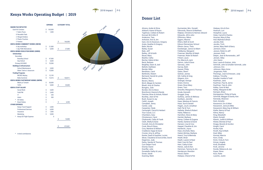

# **Kenya Works Operating Budget | 2019**



|                                             | <b>EXPENSE</b> |         | <b>CATEGORY TOTAL</b> |         |
|---------------------------------------------|----------------|---------|-----------------------|---------|
| <b>MAKINI PAD INITIATIVE</b>                |                |         |                       |         |
| Each Kit Contans:                           | \$             | 165,000 |                       |         |
| 1 Fabric Purse                              | \$             | 1,000   |                       |         |
| 8 Reusable Pads                             |                |         |                       |         |
| 2 Winged Holders                            |                |         |                       |         |
| 2 Plastic Pouches                           |                |         |                       |         |
| 2 Panties                                   |                |         | \$                    | 166,000 |
| <b>KENYA WORKS COMMUNITY WORKS (KWCW)</b>   |                |         |                       |         |
| 4 day workshop                              | \$             | 21,000  |                       |         |
| 1 day FGM Alternatives                      | Ś              | 6,000   | \$                    | 27,000  |
| <b>KENYA WORKS EDUCATION WORKS (KWEW)</b>   |                |         |                       |         |
| <b>Scholarships</b>                         |                |         |                       |         |
| Secondary                                   |                |         |                       |         |
| <b>Boarding School</b>                      | \$             | 47,000  |                       |         |
| Day School                                  | \$             | 4,600   |                       |         |
| Primary/VICODEC                             | Ś              | 70,500  |                       |         |
| <b>Buildings &amp; Infrastructure</b>       |                |         |                       |         |
| <b>School Maintenance</b>                   | \$             | 3,000   |                       |         |
| Water Tank w/ classroom                     | \$             | 15,000  |                       |         |
| <b>Feeding Programs</b>                     |                |         |                       |         |
| <b>MCDEO Beijing</b>                        | \$             | 12,195  |                       |         |
| <b>Baba Gurstone</b>                        | \$             | 12,616  | \$                    | 164,911 |
| <b>KENYA WORKS PARTNERSHIP WORKS (KWPW)</b> |                |         |                       |         |
| Miale ya Tumaini                            | \$             | 30,000  |                       |         |
| <b>TAPA</b>                                 | \$             | 5,000   | \$                    | 35,000  |
| <b>KENYA STAFF SALARY</b>                   |                |         |                       |         |
| <b>Social Work</b>                          | \$             | 3,600   |                       |         |
| <b>Field PM</b>                             | \$             | 2,400   |                       |         |
| IT.                                         | \$             | 250     |                       |         |
| Intern                                      | \$             | 300     |                       |         |
| <b>ED Salary</b><br>$^\star$                | \$             |         |                       |         |
| <b>Board Salary</b><br>$^\star$             | Ś              |         | \$                    | 6,550   |
| <b>OTHER EXPENSES</b>                       |                |         |                       |         |
| <b>Kenya Travel Support</b>                 | \$             | 2,000   |                       |         |
| <b>Professional Services</b>                | \$             | 6,000   |                       |         |
| Insurance                                   | \$             | 1,000   |                       |         |
| Marketing                                   | Ś              | 5,000   |                       |         |
| $\star$<br>Kenya ED Flight Expense          |                | 0       |                       |         |
|                                             |                |         | \$                    | 14,000  |
|                                             |                |         |                       |         |

413,461

\* In-kind contributions



# **Donor List**

Ahrens, Andie & Olivia Alsbach, Karen & Royce Tigelman, Colleen & Robert Konrad, Mr & Mrs R Anderson, Tara Anholzer, Ann & Jim Gain, Ann & Swanson, Gregory Arata, Heather & Gregory Bahn, Nicole Bailey, Susan Bale, Jeff Batley, Jill & Keith Bauer, Mary Beattie, Cathy Becher, Debra & Ben Beck, Barbara Beighley, Dawn & Joel Bellotti, Kathleen Bender, Mike Bendtsen, Carol Berkholtz, Robert Bertrand, Harold & Lynda Betters, Pat Bevers, Sherry Birch, Megan & Carsten Bluett, Amy & Charles Bongers, Julie Borden, Kim & Steve Bremhorst, Keevie & Randy Fletcher, Brian & Hickok, Robert Buckley, Jean & Pat Bush, Susan & Jay Cahill, Joseph Campbell, Jenny Canter, Judy Carpenter, Clyde Cartwright, Carroll & Herbert Your Cause, LLC Chambers, Gary Christenson, Carol Chybowski, Cathy & Frank Clark, Shelly & Dane Connell, Amy & Christpher Cook, Nina & Steve Cory, Marlene & William Craddock, Kappi & David Crozier, Amy & Jeffrey Kester, Daali & Gauthier, Lucien Skran, Claudena & Duncombe, David Degernes, Judy Derks, Sandra & Thomas Curt Detjen Fund Dismer, Karen Doerfler, Julie Donatelle, Kathy & Larry Doran, Sarah Duening, Mark

Durmeister, Mrs. Donald Edmonds, Sharon & Matthew Klejbuk, Christine & Heimel, Edward Edwards, Jill & John Efthimiou, Nikos Eggers, Maxine Ehlers, Beth & Scott Edison Elementary School Ellesin-Janus, Thea Exenberger, Janice & Albert Feldkamp, Margaret Freeman, Marillyn & Ralph Freeman, Robin & Robert Frikart, Laura Fry, Marcia & Jack Gamm, Julie & Dave Garceau, John Garvey, Beth Gasser, Philip Gates, Sherri Geitner, James Gill, Cathie & Greg Gliganic, Kris Grainger, George Green, Donna Green, Rose Mary Green, Terri Greunke, Margaret & Thomas Grode, Kenneth Groggel, Greg Guthery, James & Melissa Gwilliam, Jennifer Haas, Marlene & Francis Haas, Sue & Gerald Hagen, Joy & Jonathan Hall, Pat & Tom Hallada, Sheila & Robert Halse, Rebecca Hamilton, Steve & Mary Hamlet, Barbara Hamp, Colleen & Eugene Hanke, Darlene & David Hansen, Lisa & Cory Happel, Claudine & Jim Hardwick, Joyce Harp-Jirschele, Mary Hatem-McGee, Barbara Heard, Troy & Merinda Heath, Brian Heath, Lauren & Neal Heid, Carol & Paul Hein, Cathy & Dan Heiner, Julie & Ken Hemmen, Tammy & Jim Henderson, Brendon Hessil, Elaine Hietpas, Cheryl & Pat

Hietpas, Kris & Don Hoersch, Lori Hoiepfner, Laura Hoke, Carroll & Charles Hosmer, Mary & Ray Hull, Mylinda & Brian Jacobs, Bob Jacobs, Trich James, Mary Beth & Barry Jamison, Drew Janson, Robin & Jeff Janssen, Ruth Detjen, Jean & Romenesko, Jeff Jensen, Abby Jick, Karen Itow, Laurie & Gretzer, John Schmidt, John & Schaller-Schmidt, Julie Johnson, Eric Johnson, Mary Anne Jorgensen, Patti Pennings, Joan & Driessen, Judy Kalteux, Timothy Kandler, Imelda & Todd Kaufman, Jane Kaufman, Paul & Jamie Kaufman, Tara & John Kelley, Carol & Neil Kelley, Margaret & Bill Kempen, Brian Kemppainen, Philip & Paula Schmidt, Maggie & Danila, Ken Kennedy, Shannon Kent, Annette Kessenich, Eric & Mari Kessenich, Jenna & Mike Kessenich, Mary Kay & William Kiefer, Nancy & Paul Kilma, Nancy King, Marybeth Kleist, Donald Klewin, Judith & William Klister, Brenda & Paul Knapp, Beverly & Gordon Knight, Carol Knoke, Kyle Knuth, Kay & Mark Koel, Mike Konrad, Marcia Korn, Cindy Krick, Vicky & Tom Krizan, Angela Kroll, Elizabeth Kroll, Jerome Kunde, Rebecca & Joe Kuper, Steve Kurz, Katie Lacerte, Justin